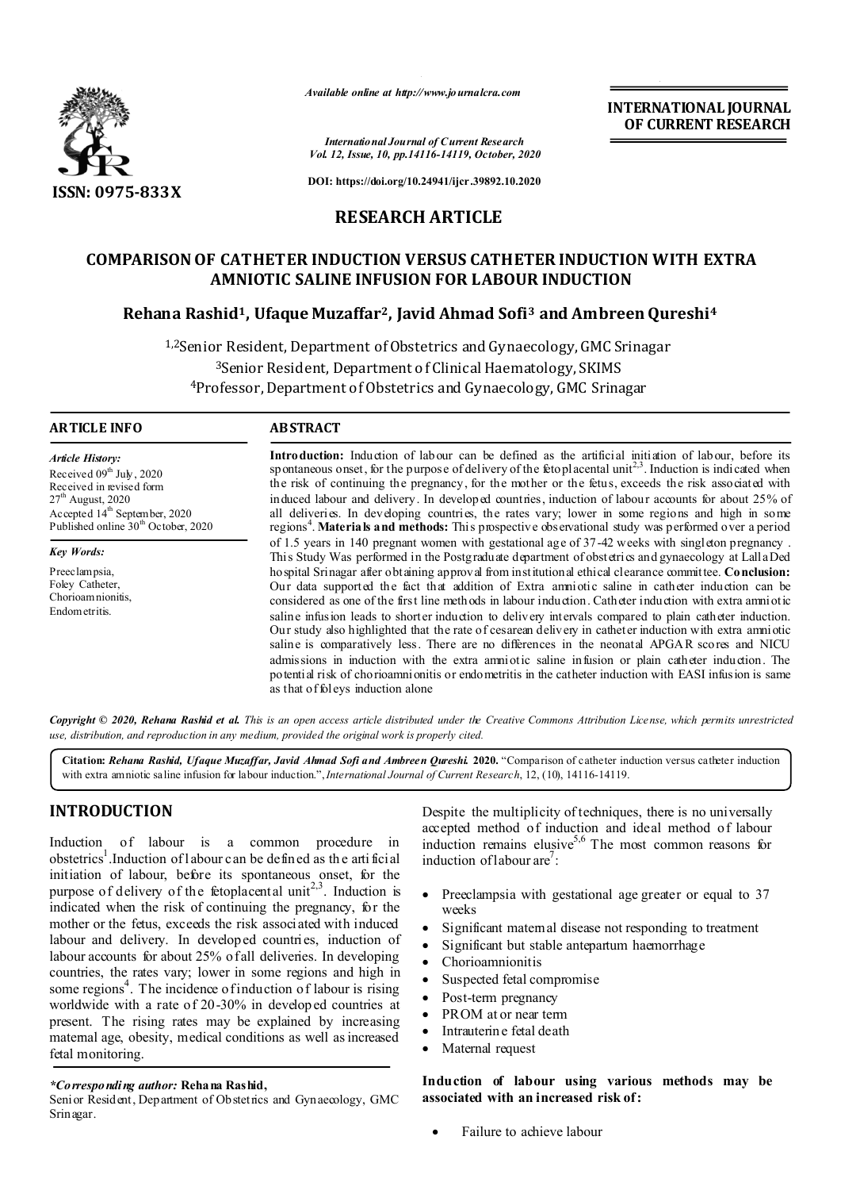

*Available online at http://www.journalcra.com*

**INTERNATIONAL JOURNAL OF CURRENT RESEARCH**

*International Journal of Current Research Vol. 12, Issue, 10, pp.14116-14119, October, 2020*

**DOI: https://doi.org/10.24941/ijcr.39892.10.2020**

# **RESEARCH ARTICLE**

# **COMPARISON OF CATHETER INDUCTION VERSUS CATHETER INDUCTION WITH EXTRA AMNIOTIC SALINE INFUSION FOR LABOUR INDUCTION**

# **Rehana Rashid1, Ufaque Muzaffar2, Javid Ahmad Sofi3 and Ambreen Qureshi4**

<sup>1,2</sup>Senior Resident, Department of Obstetrics and Gynaecology, GMC Srinagar 3Senior Resident, Department of Clinical Haematology, SKIMS 4Professor, Department of Obstetrics and Gynaecology, GMC Srinagar

#### **ARTICLE INFO ABSTRACT**

*Article History:* Received 09<sup>th</sup> July, 2020 Received in revised form  $27^{\text{th}}$  August, 2020 Accepted 14<sup>th</sup> September, 2020 Published online 30<sup>th</sup> October, 2020

*Key Words:*

Preeclampsia, Foley Catheter, Chorioam nionitis. Endometritis.

**Introduction:** Induction of labour can be defined as the artificial initiation of labour, before its spontaneous onset, for the purpose of delivery of the fetoplacental unit<sup>2,3</sup>. Induction is indicated when the risk of continuing the pregnancy, for the mother or the fetus, exceeds the risk associated with induced labour and delivery. In developed countries, induction of labour accounts for about 25% of all deliveries. In developing countries, the rates vary; lower in some regions and high in some regions<sup>4</sup>. Materials and methods: This prospective observational study was performed over a period of 1.5 years in 140 pregnant women with gestational age of 37-42 weeks with singleton pregnancy . This Study Was performed in the Postgraduate department of obstetrics and gynaecology at Lalla Ded hospital Srinagar after obtaining approval from institutional ethical clearance committee. **Conclusion:**  Our data supported the fact that addition of Extra amniotic saline in catheter induction can be considered as one of the first line methods in labour induction. Catheter induction with extra amniotic saline infusion leads to shorter induction to delivery intervals compared to plain catheter induction. Our study also highlighted that the rate of cesarean delivery in catheter induction with extra amniotic saline is comparatively less. There are no differences in the neonatal APGAR scores and NICU admissions in induction with the extra amniotic saline infusion or plain catheter induction. The potential risk of chorioamnionitis or endometritis in the catheter induction with EASI infusion is same as that of foleys induction alone

Copyright © 2020, Rehana Rashid et al. This is an open access article distributed under the Creative Commons Attribution License, which permits unrestricted *use, distribution, and reproduction in any medium, provided the original work is properly cited.*

**Citation:** *Rehana Rashid, Ufaque Muzaffar, Javid Ahmad Sofi and Ambreen Qureshi.* **2020.** "Comparison of catheter induction versus catheter induction with extra amniotic saline infusion for labour induction.",*International Journal of Current Research*, 12, (10), 14116-14119.

# **INTRODUCTION**

Induction of labour is a common procedure in obstetrics<sup>1</sup>. Induction of labour can be defined as the artificial initiation of labour, before its spontaneous onset, for the purpose of delivery of the fetoplacental unit<sup>2,3</sup>. Induction is indicated when the risk of continuing the pregnancy, for the mother or the fetus, exceeds the risk associated with induced labour and delivery. In developed countries, induction of labour accounts for about 25% of all deliveries. In developing countries, the rates vary; lower in some regions and high in some regions<sup>4</sup>. The incidence of induction of labour is rising worldwide with a rate of 20-30% in developed countries at present. The rising rates may be explained by increasing maternal age, obesity, medical conditions as well as increased fetal monitoring.

#### *\*Corresponding author:* **Rehana Rashid,**

Senior Resident, Department of Obstetrics and Gynaecology, GMC Srinagar.

Despite the multiplicity of techniques, there is no universally accepted method of induction and ideal method of labour induction remains elusive<sup>5,6</sup> The most common reasons for induction of labour are<sup>7</sup>:

- Preeclampsia with gestational age greater or equal to 37 weeks
- Significant maternal disease not responding to treatment
- Significant but stable antepartum haemorrhage
- Chorioamnionitis
- Suspected fetal compromise
- Post-term pregnancy
- PROM at or near term
- Intrauterine fetal death
- Maternal request

**Induction of labour using various methods may be associated with an increased risk of:**

Failure to achieve labour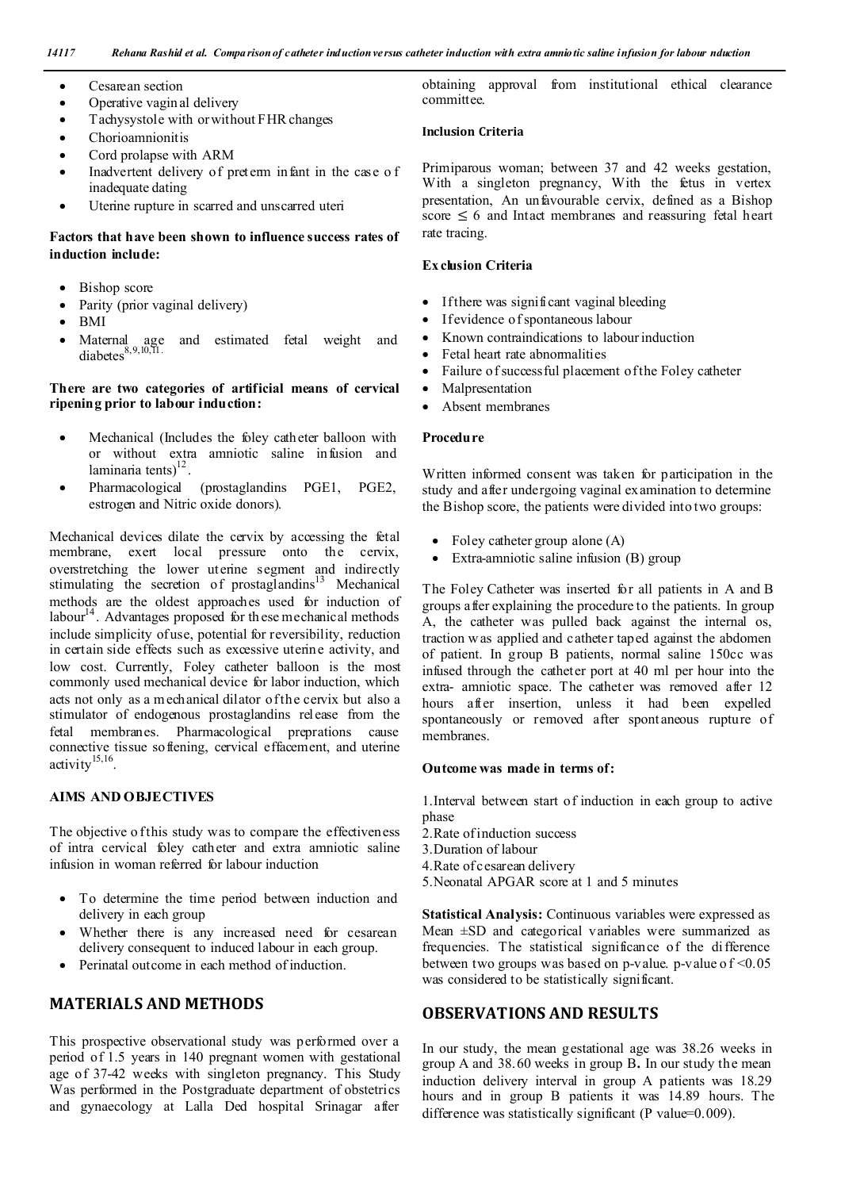- Cesarean section
- Operative vaginal delivery
- Tachysystole with or without FHR changes
- Chorioamnionitis
- Cord prolapse with ARM
- Inadvertent delivery of preterm infant in the case o f inadequate dating
- Uterine rupture in scarred and unscarred uteri

## **Factors that have been shown to influence success rates of induction include:**

- Bishop score
- Parity (prior vaginal delivery)
- BMI
- and estimated fetal weight and Maternal age<br>diabetes $8,9,10,11$ .

#### **There are two categories of artificial means of cervical ripening prior to labour induction:**

- Mechanical (Includes the foley catheter balloon with or without extra amniotic saline infusion and laminaria tents $)^{12}$ .
- Pharmacological (prostaglandins PGE1, PGE2, estrogen and Nitric oxide donors).

Mechanical devices dilate the cervix by accessing the fetal membrane, exert local pressure onto the cervix, overstretching the lower uterine segment and indirectly stimulating the secretion of prostaglandins<sup>13</sup> Mechanical methods are the oldest approaches used for induction of labour $14$ . Advantages proposed for these mechanical methods include simplicity of use, potential for reversibility, reduction in certain side effects such as excessive uterine activity, and low cost. Currently, Foley catheter balloon is the most commonly used mechanical device for labor induction, which acts not only as a m echanical dilator of the cervix but also a stimulator of endogenous prostaglandins release from the fetal membranes. Pharmacological preprations cause connective tissue softening, cervical effacement, and uterine activity $15,16$ .

## **AIMS AND OBJECTIVES**

The objective o f this study was to compare the effectiveness of intra cervical foley catheter and extra amniotic saline infusion in woman referred for labour induction

- To determine the time period between induction and delivery in each group
- Whether there is any increased need for cesarean delivery consequent to induced labour in each group.
- Perinatal outcome in each method of induction.

## **MATERIALS AND METHODS**

This prospective observational study was performed over a period of 1.5 years in 140 pregnant women with gestational age of 37-42 weeks with singleton pregnancy. This Study Was performed in the Postgraduate department of obstetrics and gynaecology at Lalla Ded hospital Srinagar after

obtaining approval from institutional ethical clearance committee.

## **Inclusion Criteria**

Primiparous woman; between 37 and 42 weeks gestation, With a singleton pregnancy, With the fetus in vertex presentation, An unfavourable cervix, defined as a Bishop score  $\leq 6$  and Intact membranes and reassuring fetal heart rate tracing.

## **Ex clusion Criteria**

- If there was significant vaginal bleeding
- If evidence of spontaneous labour
- Known contraindications to labour induction
- Fetal heart rate abnormalities
- Failure of successful placement of the Foley catheter
- Malpresentation
- Absent membranes

#### **Procedure**

Written informed consent was taken for participation in the study and after undergoing vaginal examination to determine the Bishop score, the patients were divided into two groups:

- Foley catheter group alone (A)
- Extra-amniotic saline infusion (B) group

The Foley Catheter was inserted for all patients in A and B groups after explaining the procedure to the patients. In group A, the catheter was pulled back against the internal os, traction w as applied and catheter taped against the abdomen of patient. In group B patients, normal saline 150cc was infused through the catheter port at 40 ml per hour into the extra- amniotic space. The catheter was removed after 12 hours after insertion, unless it had been expelled spontaneously or removed after spont aneous rupture of membranes.

#### **Outcome was made in terms of:**

1.Interval between start of induction in each group to active phase

- 2.Rate of induction success
- 3.Duration of labour
- 4.Rate of cesarean delivery
- 5.Neonatal APGAR score at 1 and 5 minutes

**Statistical Analysis:** Continuous variables were expressed as Mean  $\pm$ SD and categorical variables were summarized as frequencies. The statistical significance of the difference between two groups was based on p-value. p-value of  $\leq 0.05$ was considered to be statistically significant.

# **OBSERVATIONS AND RESULTS**

In our study, the mean gestational age was 38.26 weeks in group A and 38.60 weeks in group B**.** In our study the mean induction delivery interval in group A patients was 18.29 hours and in group B patients it was 14.89 hours. The difference was statistically significant (P value=0.009).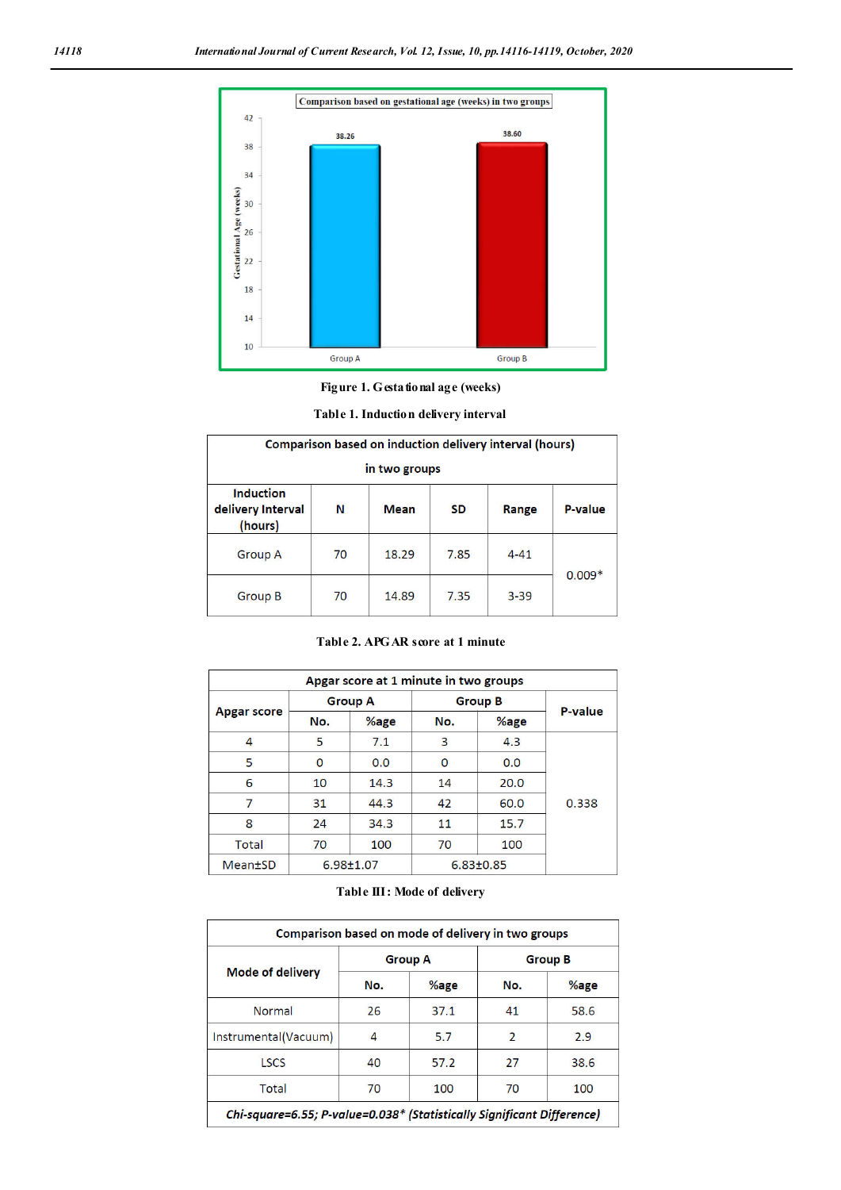

**Figure 1. Gestational age (weeks)**

| Comparison based on induction delivery interval (hours)<br>in two groups |    |             |           |          |          |  |
|--------------------------------------------------------------------------|----|-------------|-----------|----------|----------|--|
| <b>Induction</b><br>delivery Interval<br>(hours)                         | N  | <b>Mean</b> | <b>SD</b> | Range    | P-value  |  |
| <b>Group A</b>                                                           | 70 | 18.29       | 7.85      | $4 - 41$ |          |  |
| <b>Group B</b>                                                           | 70 | 14.89       | 7.35      | $3 - 39$ | $0.009*$ |  |

| Apgar score at 1 minute in two groups |                |                 |                |                 |         |  |
|---------------------------------------|----------------|-----------------|----------------|-----------------|---------|--|
| <b>Apgar score</b>                    | <b>Group A</b> |                 | <b>Group B</b> |                 |         |  |
|                                       | No.            | $%$ age         | No.            | %age            | P-value |  |
| 4                                     | 5              | 7.1             | 3              | 4,3             |         |  |
| 5                                     | 0              | 0.0             | $\Omega$       | 0.0             |         |  |
| 6                                     | 10             | 14.3            | 14             | 20.0            |         |  |
| 7                                     | 31             | 44.3            | 42             | 60.0            | 0.338   |  |
| 8                                     | 24             | 34.3            | 11             | 15.7            |         |  |
| <b>Total</b>                          | 70             | 100             | 70             | 100             |         |  |
| <b>Mean</b> <sup>t</sup> SD           |                | $6.98 \pm 1.07$ |                | $6.83 \pm 0.85$ |         |  |

## **Table III: Mode of delivery**

|                         |     | <b>Group A</b> | <b>Group B</b> |      |
|-------------------------|-----|----------------|----------------|------|
| <b>Mode of delivery</b> | No. | $%$ age        | No.            | %age |
| Normal                  | 26  | 37.1           | 41             | 58.6 |
| Instrumental(Vacuum)    | 4   | 5.7            | $\overline{2}$ | 2.9  |
| <b>LSCS</b>             | 40  | 57.2           | 27             | 38.6 |
| Total                   | 70  | 100            | 70             | 100  |